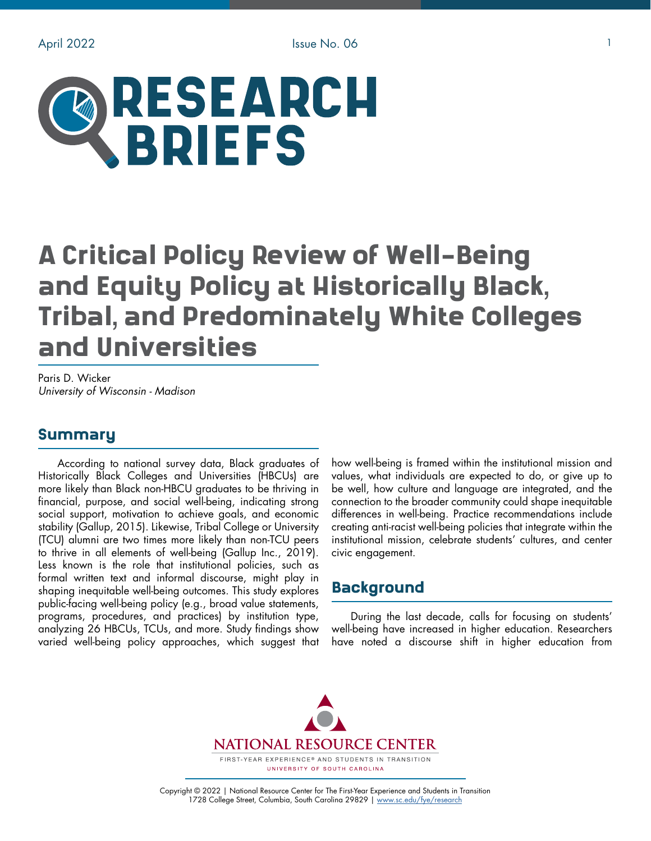

# A Critical Policy Review of Well-Being and Equity Policy at Historically Black, Tribal, and Predominately White Colleges and Universities

Paris D. Wicker *University of Wisconsin - Madison*

## Summary

According to national survey data, Black graduates of Historically Black Colleges and Universities (HBCUs) are more likely than Black non-HBCU graduates to be thriving in financial, purpose, and social well-being, indicating strong social support, motivation to achieve goals, and economic stability (Gallup, 2015). Likewise, Tribal College or University (TCU) alumni are two times more likely than non-TCU peers to thrive in all elements of well-being (Gallup Inc., 2019). Less known is the role that institutional policies, such as formal written text and informal discourse, might play in shaping inequitable well-being outcomes. This study explores public-facing well-being policy (e.g., broad value statements, programs, procedures, and practices) by institution type, analyzing 26 HBCUs, TCUs, and more. Study findings show varied well-being policy approaches, which suggest that

how well-being is framed within the institutional mission and values, what individuals are expected to do, or give up to be well, how culture and language are integrated, and the connection to the broader community could shape inequitable differences in well-being. Practice recommendations include creating anti-racist well-being policies that integrate within the institutional mission, celebrate students' cultures, and center civic engagement.

# Background

During the last decade, calls for focusing on students' well-being have increased in higher education. Researchers have noted a discourse shift in higher education from



Copyright © 2022 | National Resource Center for The First-Year Experience and Students in Transition 1728 College Street, Columbia, South Carolina 29829 | [www.sc.edu/fye/research](https://sc.edu/about/offices_and_divisions/national_resource_center/research/index.php)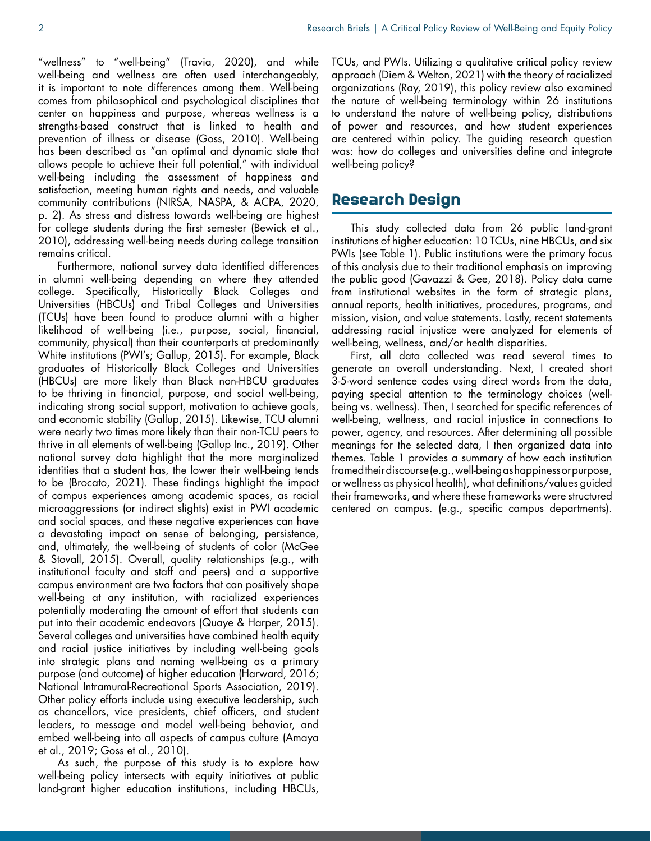"wellness" to "well-being" (Travia, 2020), and while well-being and wellness are often used interchangeably, it is important to note differences among them. Well-being comes from philosophical and psychological disciplines that center on happiness and purpose, whereas wellness is a strengths-based construct that is linked to health and prevention of illness or disease (Goss, 2010). Well-being has been described as "an optimal and dynamic state that allows people to achieve their full potential," with individual well-being including the assessment of happiness and satisfaction, meeting human rights and needs, and valuable community contributions (NIRSA, NASPA, & ACPA, 2020, p. 2). As stress and distress towards well-being are highest for college students during the first semester (Bewick et al., 2010), addressing well-being needs during college transition remains critical.

Furthermore, national survey data identified differences in alumni well-being depending on where they attended college. Specifically, Historically Black Colleges and Universities (HBCUs) and Tribal Colleges and Universities (TCUs) have been found to produce alumni with a higher likelihood of well-being (i.e., purpose, social, financial, community, physical) than their counterparts at predominantly White institutions (PWI's; Gallup, 2015). For example, Black graduates of Historically Black Colleges and Universities (HBCUs) are more likely than Black non-HBCU graduates to be thriving in financial, purpose, and social well-being, indicating strong social support, motivation to achieve goals, and economic stability (Gallup, 2015). Likewise, TCU alumni were nearly two times more likely than their non-TCU peers to thrive in all elements of well-being (Gallup Inc., 2019). Other national survey data highlight that the more marginalized identities that a student has, the lower their well-being tends to be (Brocato, 2021). These findings highlight the impact of campus experiences among academic spaces, as racial microaggressions (or indirect slights) exist in PWI academic and social spaces, and these negative experiences can have a devastating impact on sense of belonging, persistence, and, ultimately, the well-being of students of color (McGee & Stovall, 2015). Overall, quality relationships (e.g., with institutional faculty and staff and peers) and a supportive campus environment are two factors that can positively shape well-being at any institution, with racialized experiences potentially moderating the amount of effort that students can put into their academic endeavors (Quaye & Harper, 2015). Several colleges and universities have combined health equity and racial justice initiatives by including well-being goals into strategic plans and naming well-being as a primary purpose (and outcome) of higher education (Harward, 2016; National Intramural-Recreational Sports Association, 2019). Other policy efforts include using executive leadership, such as chancellors, vice presidents, chief officers, and student leaders, to message and model well-being behavior, and embed well-being into all aspects of campus culture (Amaya et al., 2019; Goss et al., 2010).

As such, the purpose of this study is to explore how well-being policy intersects with equity initiatives at public land-grant higher education institutions, including HBCUs,

TCUs, and PWIs. Utilizing a qualitative critical policy review approach (Diem & Welton, 2021) with the theory of racialized organizations (Ray, 2019), this policy review also examined the nature of well-being terminology within 26 institutions to understand the nature of well-being policy, distributions of power and resources, and how student experiences are centered within policy. The guiding research question was: how do colleges and universities define and integrate well-being policy?

## Research Design

This study collected data from 26 public land-grant institutions of higher education: 10 TCUs, nine HBCUs, and six PWIs (see Table 1). Public institutions were the primary focus of this analysis due to their traditional emphasis on improving the public good (Gavazzi & Gee, 2018). Policy data came from institutional websites in the form of strategic plans, annual reports, health initiatives, procedures, programs, and mission, vision, and value statements. Lastly, recent statements addressing racial injustice were analyzed for elements of well-being, wellness, and/or health disparities.

First, all data collected was read several times to generate an overall understanding. Next, I created short 3-5-word sentence codes using direct words from the data, paying special attention to the terminology choices (wellbeing vs. wellness). Then, I searched for specific references of well-being, wellness, and racial injustice in connections to power, agency, and resources. After determining all possible meanings for the selected data, I then organized data into themes. Table 1 provides a summary of how each institution framed their discourse (e.g., well-being as happiness or purpose, or wellness as physical health), what definitions/values guided their frameworks, and where these frameworks were structured centered on campus. (e.g., specific campus departments).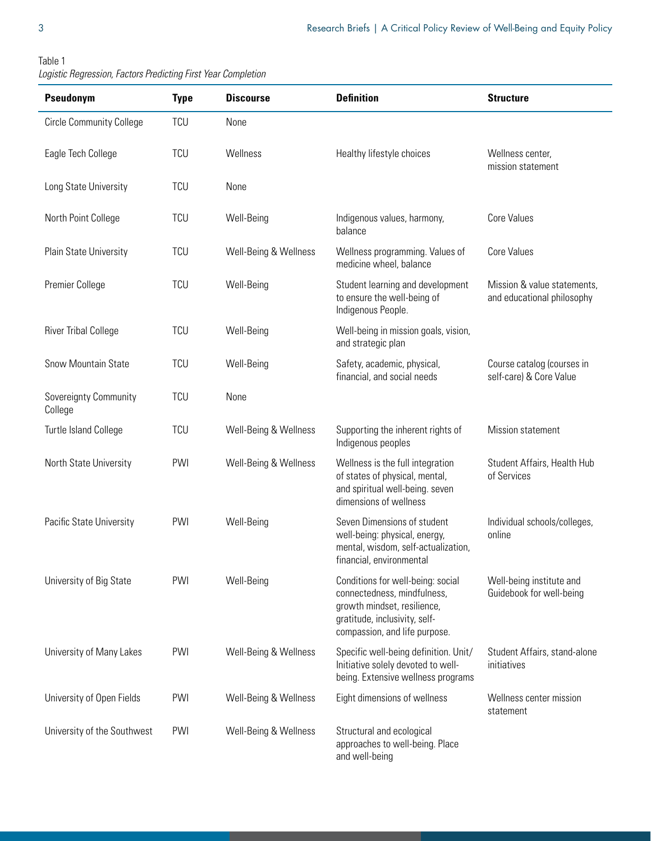| Table 1                                                       |  |  |
|---------------------------------------------------------------|--|--|
| Logistic Regression, Factors Predicting First Year Completion |  |  |

| Pseudonym                        | <b>Type</b> | <b>Discourse</b>      | <b>Definition</b>                                                                                                                                                 | <b>Structure</b>                                          |
|----------------------------------|-------------|-----------------------|-------------------------------------------------------------------------------------------------------------------------------------------------------------------|-----------------------------------------------------------|
| <b>Circle Community College</b>  | <b>TCU</b>  | None                  |                                                                                                                                                                   |                                                           |
| Eagle Tech College               | <b>TCU</b>  | Wellness              | Healthy lifestyle choices                                                                                                                                         | Wellness center,<br>mission statement                     |
| Long State University            | <b>TCU</b>  | None                  |                                                                                                                                                                   |                                                           |
| North Point College              | <b>TCU</b>  | Well-Being            | Indigenous values, harmony,<br>balance                                                                                                                            | <b>Core Values</b>                                        |
| Plain State University           | <b>TCU</b>  | Well-Being & Wellness | Wellness programming. Values of<br>medicine wheel, balance                                                                                                        | <b>Core Values</b>                                        |
| Premier College                  | <b>TCU</b>  | Well-Being            | Student learning and development<br>to ensure the well-being of<br>Indigenous People.                                                                             | Mission & value statements,<br>and educational philosophy |
| <b>River Tribal College</b>      | <b>TCU</b>  | Well-Being            | Well-being in mission goals, vision,<br>and strategic plan                                                                                                        |                                                           |
| Snow Mountain State              | <b>TCU</b>  | Well-Being            | Safety, academic, physical,<br>financial, and social needs                                                                                                        | Course catalog (courses in<br>self-care) & Core Value     |
| Sovereignty Community<br>College | <b>TCU</b>  | None                  |                                                                                                                                                                   |                                                           |
| Turtle Island College            | <b>TCU</b>  | Well-Being & Wellness | Supporting the inherent rights of<br>Indigenous peoples                                                                                                           | Mission statement                                         |
| North State University           | PWI         | Well-Being & Wellness | Wellness is the full integration<br>of states of physical, mental,<br>and spiritual well-being. seven<br>dimensions of wellness                                   | Student Affairs, Health Hub<br>of Services                |
| Pacific State University         | PWI         | Well-Being            | Seven Dimensions of student<br>well-being: physical, energy,<br>mental, wisdom, self-actualization,<br>financial, environmental                                   | Individual schools/colleges,<br>online                    |
| University of Big State          | PWI         | Well-Being            | Conditions for well-being: social<br>connectedness, mindfulness,<br>growth mindset, resilience,<br>gratitude, inclusivity, self-<br>compassion, and life purpose. | Well-being institute and<br>Guidebook for well-being      |
| University of Many Lakes         | PWI         | Well-Being & Wellness | Specific well-being definition. Unit/<br>Initiative solely devoted to well-<br>being. Extensive wellness programs                                                 | Student Affairs, stand-alone<br>initiatives               |
| University of Open Fields        | PWI         | Well-Being & Wellness | Eight dimensions of wellness                                                                                                                                      | Wellness center mission<br>statement                      |
| University of the Southwest      | PWI         | Well-Being & Wellness | Structural and ecological<br>approaches to well-being. Place<br>and well-being                                                                                    |                                                           |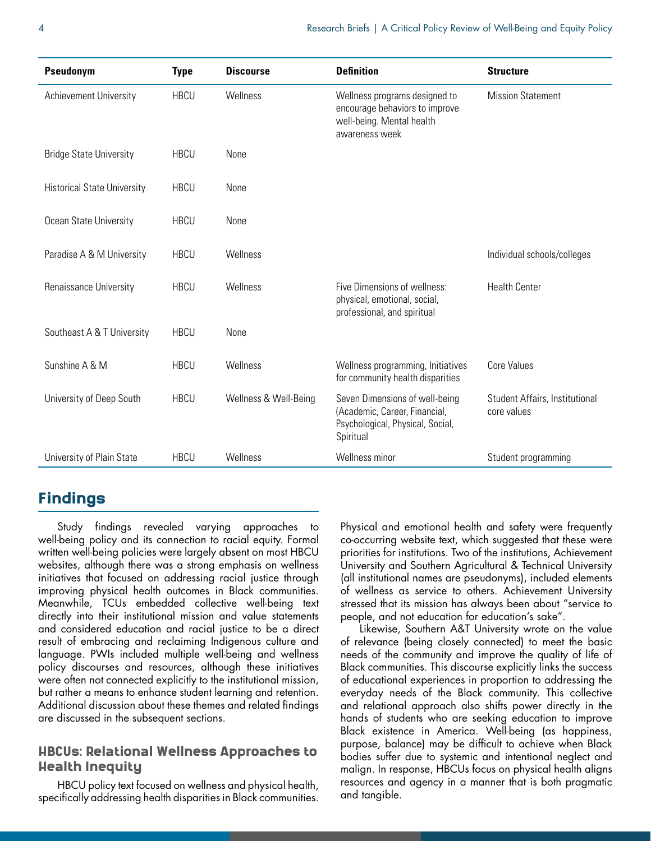| Pseudonym                          | <b>Type</b> | <b>Discourse</b>      | <b>Definition</b>                                                                                                | <b>Structure</b>                              |
|------------------------------------|-------------|-----------------------|------------------------------------------------------------------------------------------------------------------|-----------------------------------------------|
| <b>Achievement University</b>      | <b>HBCU</b> | Wellness              | Wellness programs designed to<br>encourage behaviors to improve<br>well-being. Mental health<br>awareness week   | <b>Mission Statement</b>                      |
| <b>Bridge State University</b>     | <b>HBCU</b> | None                  |                                                                                                                  |                                               |
| <b>Historical State University</b> | <b>HBCU</b> | None                  |                                                                                                                  |                                               |
| Ocean State University             | <b>HBCU</b> | None                  |                                                                                                                  |                                               |
| Paradise A & M University          | <b>HBCU</b> | Wellness              |                                                                                                                  | Individual schools/colleges                   |
| Renaissance University             | <b>HBCU</b> | Wellness              | Five Dimensions of wellness:<br>physical, emotional, social,<br>professional, and spiritual                      | <b>Health Center</b>                          |
| Southeast A & T University         | <b>HBCU</b> | None                  |                                                                                                                  |                                               |
| Sunshine A & M                     | <b>HBCU</b> | Wellness              | Wellness programming, Initiatives<br>for community health disparities                                            | <b>Core Values</b>                            |
| University of Deep South           | <b>HBCU</b> | Wellness & Well-Being | Seven Dimensions of well-being<br>(Academic, Career, Financial,<br>Psychological, Physical, Social,<br>Spiritual | Student Affairs, Institutional<br>core values |
| University of Plain State          | <b>HBCU</b> | Wellness              | Wellness minor                                                                                                   | Student programming                           |

# Findings

Study findings revealed varying approaches to well-being policy and its connection to racial equity. Formal written well-being policies were largely absent on most HBCU websites, although there was a strong emphasis on wellness initiatives that focused on addressing racial justice through improving physical health outcomes in Black communities. Meanwhile, TCUs embedded collective well-being text directly into their institutional mission and value statements and considered education and racial justice to be a direct result of embracing and reclaiming Indigenous culture and language. PWIs included multiple well-being and wellness policy discourses and resources, although these initiatives were often not connected explicitly to the institutional mission, but rather a means to enhance student learning and retention. Additional discussion about these themes and related findings are discussed in the subsequent sections.

## HBCUs: Relational Wellness Approaches to Health Inequity

HBCU policy text focused on wellness and physical health, specifically addressing health disparities in Black communities. Physical and emotional health and safety were frequently co-occurring website text, which suggested that these were priorities for institutions. Two of the institutions, Achievement University and Southern Agricultural & Technical University (all institutional names are pseudonyms), included elements of wellness as service to others. Achievement University stressed that its mission has always been about "service to people, and not education for education's sake".

Likewise, Southern A&T University wrote on the value of relevance (being closely connected) to meet the basic needs of the community and improve the quality of life of Black communities. This discourse explicitly links the success of educational experiences in proportion to addressing the everyday needs of the Black community. This collective and relational approach also shifts power directly in the hands of students who are seeking education to improve Black existence in America. Well-being (as happiness, purpose, balance) may be difficult to achieve when Black bodies suffer due to systemic and intentional neglect and malign. In response, HBCUs focus on physical health aligns resources and agency in a manner that is both pragmatic and tangible.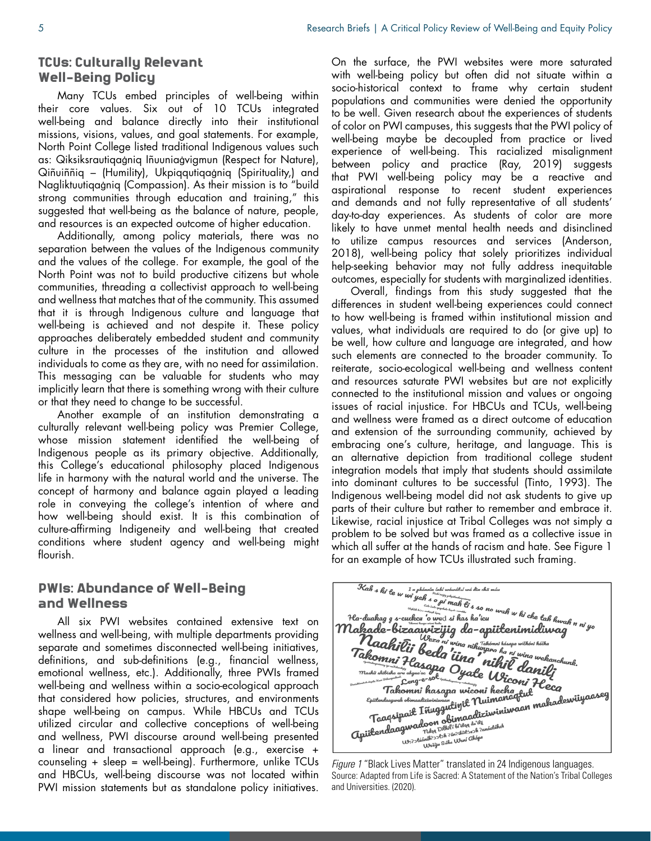#### TCUs: Culturally Relevant Well-Being Policy

Many TCUs embed principles of well-being within their core values. Six out of 10 TCUs integrated well-being and balance directly into their institutional missions, visions, values, and goal statements. For example, North Point College listed traditional Indigenous values such as: Qiksiksrautiqaġniq Iñuuniaġvigmun (Respect for Nature), Qiñuiññiq – (Humility), Ukpiqqutiqaġniq (Spirituality,) and Nagliktuutiqaġniq (Compassion). As their mission is to "build strong communities through education and training," this suggested that well-being as the balance of nature, people, and resources is an expected outcome of higher education.

Additionally, among policy materials, there was no separation between the values of the Indigenous community and the values of the college. For example, the goal of the North Point was not to build productive citizens but whole communities, threading a collectivist approach to well-being and wellness that matches that of the community. This assumed that it is through Indigenous culture and language that well-being is achieved and not despite it. These policy approaches deliberately embedded student and community culture in the processes of the institution and allowed individuals to come as they are, with no need for assimilation. This messaging can be valuable for students who may implicitly learn that there is something wrong with their culture or that they need to change to be successful.

Another example of an institution demonstrating a culturally relevant well-being policy was Premier College, whose mission statement identified the well-being of Indigenous people as its primary objective. Additionally, this College's educational philosophy placed Indigenous life in harmony with the natural world and the universe. The concept of harmony and balance again played a leading role in conveying the college's intention of where and how well-being should exist. It is this combination of culture-affirming Indigeneity and well-being that created conditions where student agency and well-being might flourish.

## PWIs: Abundance of Well-Being and Wellness

All six PWI websites contained extensive text on wellness and well-being, with multiple departments providing separate and sometimes disconnected well-being initiatives, definitions, and sub-definitions (e.g., financial wellness, emotional wellness, etc.). Additionally, three PWIs framed well-being and wellness within a socio-ecological approach that considered how policies, structures, and environments shape well-being on campus. While HBCUs and TCUs utilized circular and collective conceptions of well-being and wellness, PWI discourse around well-being presented a linear and transactional approach (e.g., exercise + counseling + sleep = well-being). Furthermore, unlike TCUs and HBCUs, well-being discourse was not located within PWI mission statements but as standalone policy initiatives.

On the surface, the PWI websites were more saturated with well-being policy but often did not situate within a socio-historical context to frame why certain student populations and communities were denied the opportunity to be well. Given research about the experiences of students of color on PWI campuses, this suggests that the PWI policy of well-being maybe be decoupled from practice or lived experience of well-being. This racialized misalignment between policy and practice (Ray, 2019) suggests that PWI well-being policy may be a reactive and aspirational response to recent student experiences and demands and not fully representative of all students' day-to-day experiences. As students of color are more likely to have unmet mental health needs and disinclined to utilize campus resources and services (Anderson, 2018), well-being policy that solely prioritizes individual help-seeking behavior may not fully address inequitable outcomes, especially for students with marginalized identities.

Overall, findings from this study suggested that the differences in student well-being experiences could connect to how well-being is framed within institutional mission and values, what individuals are required to do (or give up) to be well, how culture and language are integrated, and how such elements are connected to the broader community. To reiterate, socio-ecological well-being and wellness content and resources saturate PWI websites but are not explicitly connected to the institutional mission and values or ongoing issues of racial injustice. For HBCUs and TCUs, well-being and wellness were framed as a direct outcome of education and extension of the surrounding community, achieved by embracing one's culture, heritage, and language. This is an alternative depiction from traditional college student integration models that imply that students should assimilate into dominant cultures to be successful (Tinto, 1993). The Indigenous well-being model did not ask students to give up parts of their culture but rather to remember and embrace it. Likewise, racial injustice at Tribal Colleges was not simply a problem to be solved but was framed as a collective issue in which all suffer at the hands of racism and hate. See Figure 1



Source: Adapted from Life is Sacred: A Statement of the Nation's Tribal Colleges and Universities. (2020).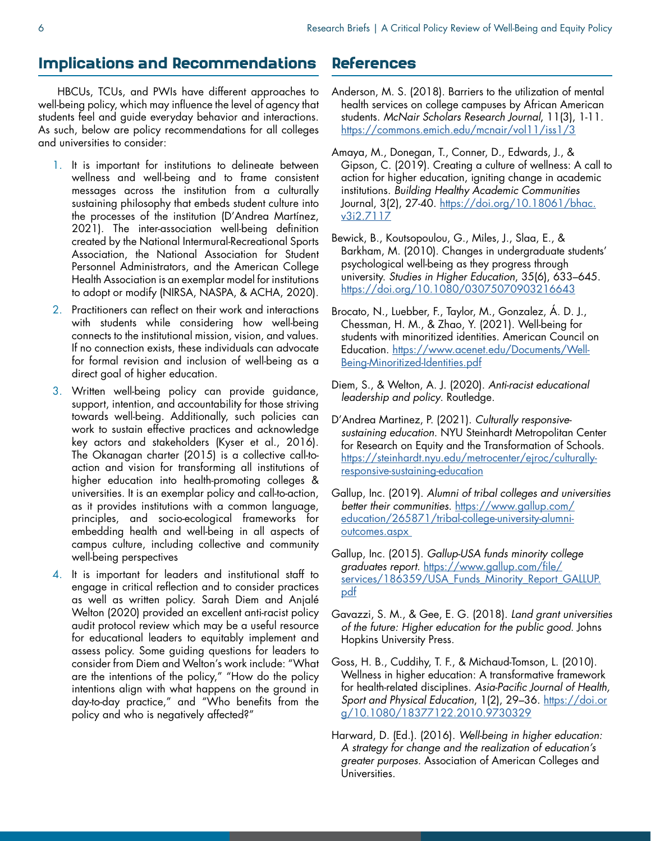## Implications and Recommendations

HBCUs, TCUs, and PWIs have different approaches to well-being policy, which may influence the level of agency that students feel and guide everyday behavior and interactions. As such, below are policy recommendations for all colleges and universities to consider:

- 1. It is important for institutions to delineate between wellness and well-being and to frame consistent messages across the institution from a culturally sustaining philosophy that embeds student culture into the processes of the institution (D'Andrea Martínez, 2021). The inter-association well-being definition created by the National Intermural-Recreational Sports Association, the National Association for Student Personnel Administrators, and the American College Health Association is an exemplar model for institutions to adopt or modify (NIRSA, NASPA, & ACHA, 2020).
- 2. Practitioners can reflect on their work and interactions with students while considering how well-being connects to the institutional mission, vision, and values. If no connection exists, these individuals can advocate for formal revision and inclusion of well-being as a direct goal of higher education.
- 3. Written well-being policy can provide guidance, support, intention, and accountability for those striving towards well-being. Additionally, such policies can work to sustain effective practices and acknowledge key actors and stakeholders (Kyser et al., 2016). The Okanagan charter (2015) is a collective call-toaction and vision for transforming all institutions of higher education into health-promoting colleges & universities. It is an exemplar policy and call-to-action, as it provides institutions with a common language, principles, and socio-ecological frameworks for embedding health and well-being in all aspects of campus culture, including collective and community well-being perspectives
- 4. It is important for leaders and institutional staff to engage in critical reflection and to consider practices as well as written policy. Sarah Diem and Anjalé Welton (2020) provided an excellent anti-racist policy audit protocol review which may be a useful resource for educational leaders to equitably implement and assess policy. Some guiding questions for leaders to consider from Diem and Welton's work include: "What are the intentions of the policy," "How do the policy intentions align with what happens on the ground in day-to-day practice," and "Who benefits from the policy and who is negatively affected?"

## References

- Anderson, M. S. (2018). Barriers to the utilization of mental health services on college campuses by African American students. *McNair Scholars Research Journal*, 11(3), 1-11. <https://commons.emich.edu/mcnair/vol11/iss1/3>
- Amaya, M., Donegan, T., Conner, D., Edwards, J., & Gipson, C. (2019). Creating a culture of wellness: A call to action for higher education, igniting change in academic institutions. *Building Healthy Academic Communities*  Journal, 3(2), 27-40. [https://doi.org/10.18061/bhac.](https://doi.org/10.18061/bhac.v3i2.7117 ) [v3i2.7117](https://doi.org/10.18061/bhac.v3i2.7117 )
- Bewick, B., Koutsopoulou, G., Miles, J., Slaa, E., & Barkham, M. (2010). Changes in undergraduate students' psychological well‐being as they progress through university. *Studies in Higher Education*, 35(6), 633–645. [https://doi.org/10.1080/03075070903216643](https://doi.org/10.1080/03075070903216643 )
- Brocato, N., Luebber, F., Taylor, M., Gonzalez, Á. D. J., Chessman, H. M., & Zhao, Y. (2021). Well-being for students with minoritized identities. American Council on Education. [https://www.acenet.edu/Documents/Well-](https://www.acenet.edu/Documents/Well-Being-Minoritized-Identities.pdf)[Being-Minoritized-Identities.pdf](https://www.acenet.edu/Documents/Well-Being-Minoritized-Identities.pdf)
- Diem, S., & Welton, A. J. (2020). *Anti-racist educational leadership and policy*. Routledge.
- D'Andrea Martinez, P. (2021). *Culturally responsivesustaining education*. NYU Steinhardt Metropolitan Center for Research on Equity and the Transformation of Schools. [https://steinhardt.nyu.edu/metrocenter/ejroc/culturally](https://steinhardt.nyu.edu/metrocenter/ejroc/culturally-responsive-sustaining-education)[responsive-sustaining-education](https://steinhardt.nyu.edu/metrocenter/ejroc/culturally-responsive-sustaining-education)
- Gallup, Inc. (2019). *Alumni of tribal colleges and universities better their communities*. [https://www.gallup.com/](https://www.gallup.com/education/265871/tribal-college-university-alumni-outcomes.aspx  ) [education/265871/tribal-college-university-alumni](https://www.gallup.com/education/265871/tribal-college-university-alumni-outcomes.aspx  )[outcomes.aspx](https://www.gallup.com/education/265871/tribal-college-university-alumni-outcomes.aspx  )
- Gallup, Inc. (2015). *Gallup-USA funds minority college graduates report.* [https://www.gallup.com/file/](https://www.gallup.com/file/services/186359/USA_Funds_Minority_Report_GALLUP.pdf ) [services/186359/USA\\_Funds\\_Minority\\_Report\\_GALLUP.](https://www.gallup.com/file/services/186359/USA_Funds_Minority_Report_GALLUP.pdf ) [pdf](https://www.gallup.com/file/services/186359/USA_Funds_Minority_Report_GALLUP.pdf )
- Gavazzi, S. M., & Gee, E. G. (2018). *Land grant universities of the future: Higher education for the public good*. Johns Hopkins University Press.
- Goss, H. B., Cuddihy, T. F., & Michaud-Tomson, L. (2010). Wellness in higher education: A transformative framework for health-related disciplines. *Asia-Pacific Journal of Health, Sport and Physical Education*, 1(2), 29–36. [https://doi.or](https://doi.org/10.1080/18377122.2010.9730329) [g/10.1080/18377122.2010.9730329](https://doi.org/10.1080/18377122.2010.9730329)
- Harward, D. (Ed.). (2016). *Well-being in higher education: A strategy for change and the realization of education's greater purposes.* Association of American Colleges and Universities.